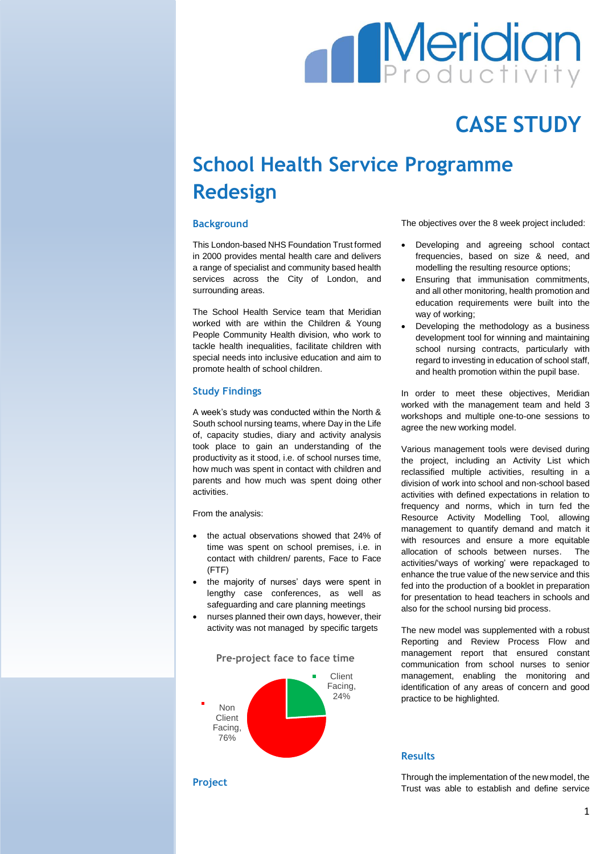# **Meridian**

## **CASE STUDY**

### **School Health Service Programme Redesign**

#### **Background**

This London-based NHS Foundation Trust formed in 2000 provides mental health care and delivers a range of specialist and community based health services across the City of London, and surrounding areas.

The School Health Service team that Meridian worked with are within the Children & Young People Community Health division, who work to tackle health inequalities, facilitate children with special needs into inclusive education and aim to promote health of school children.

#### **Study Findings**

A week's study was conducted within the North & South school nursing teams, where Day in the Life of, capacity studies, diary and activity analysis took place to gain an understanding of the productivity as it stood, i.e. of school nurses time, how much was spent in contact with children and parents and how much was spent doing other activities.

From the analysis:

- the actual observations showed that 24% of time was spent on school premises, i.e. in contact with children/ parents, Face to Face (FTF)
- the majority of nurses' days were spent in lengthy case conferences, as well as safeguarding and care planning meetings
- nurses planned their own days, however, their activity was not managed by specific targets

**Pre-project face to face time** 



The objectives over the 8 week project included:

- Developing and agreeing school contact frequencies, based on size & need, and modelling the resulting resource options;
- Ensuring that immunisation commitments, and all other monitoring, health promotion and education requirements were built into the way of working;
- Developing the methodology as a business development tool for winning and maintaining school nursing contracts, particularly with regard to investing in education of school staff, and health promotion within the pupil base.

In order to meet these objectives, Meridian worked with the management team and held 3 workshops and multiple one-to-one sessions to agree the new working model.

Various management tools were devised during the project, including an Activity List which reclassified multiple activities, resulting in a division of work into school and non-school based activities with defined expectations in relation to frequency and norms, which in turn fed the Resource Activity Modelling Tool, allowing management to quantify demand and match it with resources and ensure a more equitable allocation of schools between nurses. The activities/'ways of working' were repackaged to enhance the true value of the new service and this fed into the production of a booklet in preparation for presentation to head teachers in schools and also for the school nursing bid process.

The new model was supplemented with a robust Reporting and Review Process Flow and management report that ensured constant communication from school nurses to senior management, enabling the monitoring and identification of any areas of concern and good practice to be highlighted.

#### **Results**

Through the implementation of the new model, the Trust was able to establish and define service